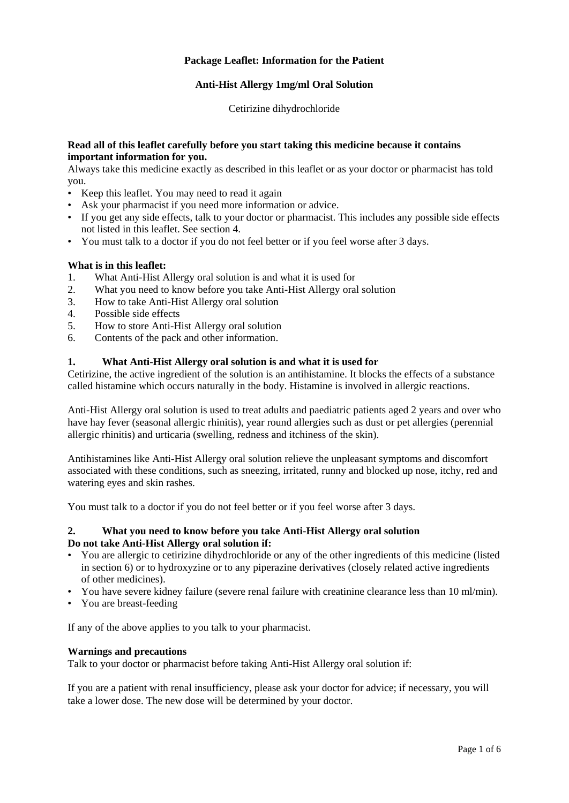# **Package Leaflet: Information for the Patient**

# **Anti-Hist Allergy 1mg/ml Oral Solution**

Cetirizine dihydrochloride

### **Read all of this leaflet carefully before you start taking this medicine because it contains important information for you.**

Always take this medicine exactly as described in this leaflet or as your doctor or pharmacist has told you.

- Keep this leaflet. You may need to read it again
- Ask your pharmacist if you need more information or advice.
- If you get any side effects, talk to your doctor or pharmacist. This includes any possible side effects not listed in this leaflet. See section 4.
- You must talk to a doctor if you do not feel better or if you feel worse after 3 days.

# **What is in this leaflet:**

- 1. What Anti-Hist Allergy oral solution is and what it is used for
- 2. What you need to know before you take Anti-Hist Allergy oral solution
- 3. How to take Anti-Hist Allergy oral solution
- 4. Possible side effects
- 5. How to store Anti-Hist Allergy oral solution
- 6. Contents of the pack and other information.

# **1. What Anti-Hist Allergy oral solution is and what it is used for**

Cetirizine, the active ingredient of the solution is an antihistamine. It blocks the effects of a substance called histamine which occurs naturally in the body. Histamine is involved in allergic reactions.

Anti-Hist Allergy oral solution is used to treat adults and paediatric patients aged 2 years and over who have hay fever (seasonal allergic rhinitis), year round allergies such as dust or pet allergies (perennial allergic rhinitis) and urticaria (swelling, redness and itchiness of the skin).

Antihistamines like Anti-Hist Allergy oral solution relieve the unpleasant symptoms and discomfort associated with these conditions, such as sneezing, irritated, runny and blocked up nose, itchy, red and watering eyes and skin rashes.

You must talk to a doctor if you do not feel better or if you feel worse after 3 days.

# **2. What you need to know before you take Anti-Hist Allergy oral solution Do not take Anti-Hist Allergy oral solution if:**

- You are allergic to cetirizine dihydrochloride or any of the other ingredients of this medicine (listed in section 6) or to hydroxyzine or to any piperazine derivatives (closely related active ingredients of other medicines).
- You have severe kidney failure (severe renal failure with creatinine clearance less than 10 ml/min).
- You are breast-feeding

If any of the above applies to you talk to your pharmacist.

# **Warnings and precautions**

Talk to your doctor or pharmacist before taking Anti-Hist Allergy oral solution if:

If you are a patient with renal insufficiency, please ask your doctor for advice; if necessary, you will take a lower dose. The new dose will be determined by your doctor.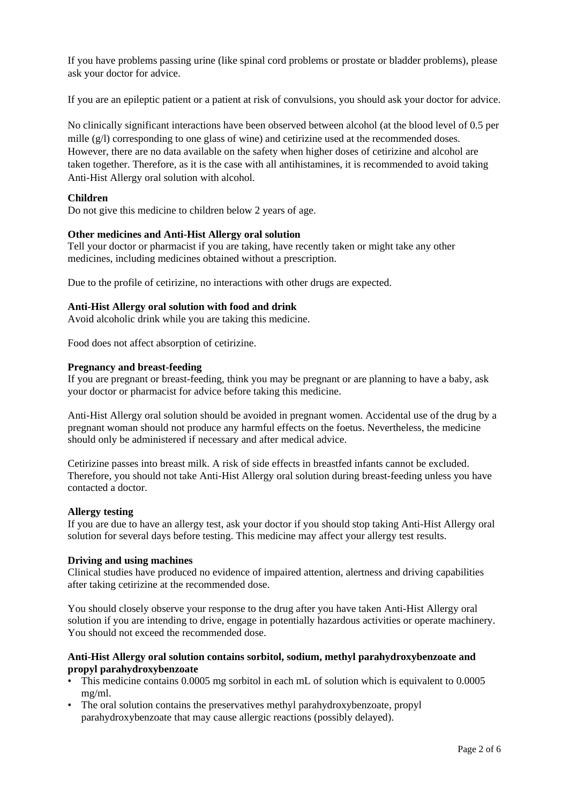If you have problems passing urine (like spinal cord problems or prostate or bladder problems), please ask your doctor for advice.

If you are an epileptic patient or a patient at risk of convulsions, you should ask your doctor for advice.

No clinically significant interactions have been observed between alcohol (at the blood level of 0.5 per mille (g/l) corresponding to one glass of wine) and cetirizine used at the recommended doses. However, there are no data available on the safety when higher doses of cetirizine and alcohol are taken together. Therefore, as it is the case with all antihistamines, it is recommended to avoid taking Anti-Hist Allergy oral solution with alcohol.

# **Children**

Do not give this medicine to children below 2 years of age.

# **Other medicines and Anti-Hist Allergy oral solution**

Tell your doctor or pharmacist if you are taking, have recently taken or might take any other medicines, including medicines obtained without a prescription.

Due to the profile of cetirizine, no interactions with other drugs are expected.

### **Anti-Hist Allergy oral solution with food and drink**

Avoid alcoholic drink while you are taking this medicine.

Food does not affect absorption of cetirizine.

#### **Pregnancy and breast-feeding**

If you are pregnant or breast-feeding, think you may be pregnant or are planning to have a baby, ask your doctor or pharmacist for advice before taking this medicine.

Anti-Hist Allergy oral solution should be avoided in pregnant women. Accidental use of the drug by a pregnant woman should not produce any harmful effects on the foetus. Nevertheless, the medicine should only be administered if necessary and after medical advice.

Cetirizine passes into breast milk. A risk of side effects in breastfed infants cannot be excluded. Therefore, you should not take Anti-Hist Allergy oral solution during breast-feeding unless you have contacted a doctor.

#### **Allergy testing**

If you are due to have an allergy test, ask your doctor if you should stop taking Anti-Hist Allergy oral solution for several days before testing. This medicine may affect your allergy test results.

#### **Driving and using machines**

Clinical studies have produced no evidence of impaired attention, alertness and driving capabilities after taking cetirizine at the recommended dose.

You should closely observe your response to the drug after you have taken Anti-Hist Allergy oral solution if you are intending to drive, engage in potentially hazardous activities or operate machinery. You should not exceed the recommended dose.

### **Anti-Hist Allergy oral solution contains sorbitol, sodium, methyl parahydroxybenzoate and propyl parahydroxybenzoate**

- This medicine contains 0.0005 mg sorbitol in each mL of solution which is equivalent to 0.0005 mg/ml.
- The oral solution contains the preservatives methyl parahydroxybenzoate, propyl parahydroxybenzoate that may cause allergic reactions (possibly delayed).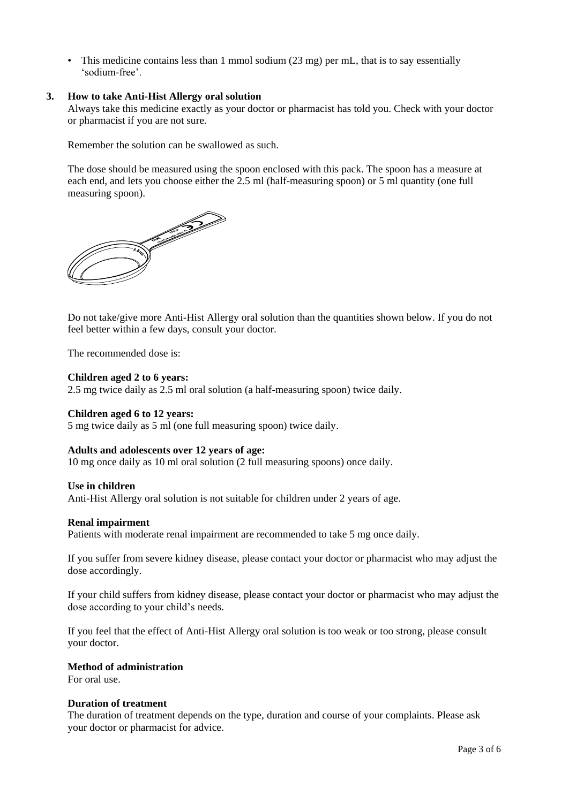• This medicine contains less than 1 mmol sodium (23 mg) per mL, that is to say essentially 'sodium-free'.

### **3. How to take Anti-Hist Allergy oral solution**

Always take this medicine exactly as your doctor or pharmacist has told you. Check with your doctor or pharmacist if you are not sure.

Remember the solution can be swallowed as such.

The dose should be measured using the spoon enclosed with this pack. The spoon has a measure at each end, and lets you choose either the 2.5 ml (half-measuring spoon) or 5 ml quantity (one full measuring spoon).



Do not take/give more Anti-Hist Allergy oral solution than the quantities shown below. If you do not feel better within a few days, consult your doctor.

The recommended dose is:

#### **Children aged 2 to 6 years:**

2.5 mg twice daily as 2.5 ml oral solution (a half-measuring spoon) twice daily.

#### **Children aged 6 to 12 years:**

5 mg twice daily as 5 ml (one full measuring spoon) twice daily.

#### **Adults and adolescents over 12 years of age:**

10 mg once daily as 10 ml oral solution (2 full measuring spoons) once daily.

#### **Use in children**

Anti-Hist Allergy oral solution is not suitable for children under 2 years of age.

#### **Renal impairment**

Patients with moderate renal impairment are recommended to take 5 mg once daily.

If you suffer from severe kidney disease, please contact your doctor or pharmacist who may adjust the dose accordingly.

If your child suffers from kidney disease, please contact your doctor or pharmacist who may adjust the dose according to your child's needs.

If you feel that the effect of Anti-Hist Allergy oral solution is too weak or too strong, please consult your doctor.

### **Method of administration**

For oral use.

#### **Duration of treatment**

The duration of treatment depends on the type, duration and course of your complaints. Please ask your doctor or pharmacist for advice.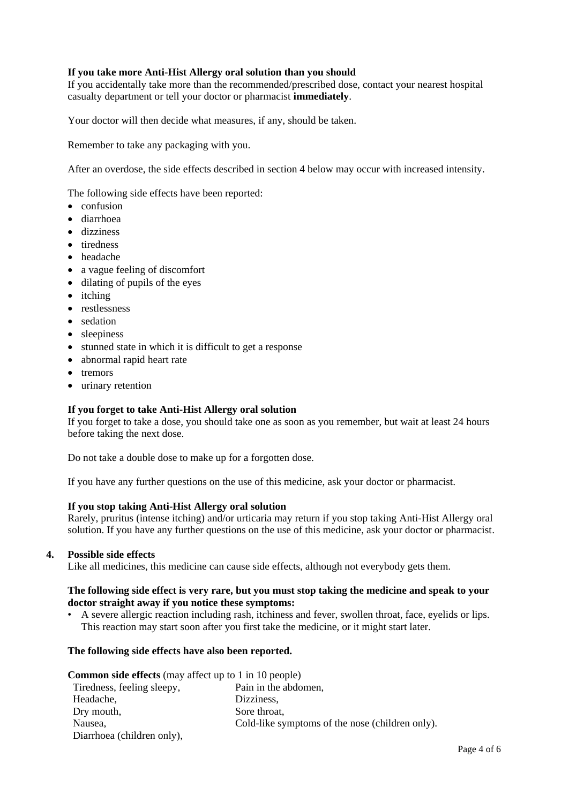# **If you take more Anti-Hist Allergy oral solution than you should**

If you accidentally take more than the recommended/prescribed dose, contact your nearest hospital casualty department or tell your doctor or pharmacist **immediately**.

Your doctor will then decide what measures, if any, should be taken.

Remember to take any packaging with you.

After an overdose, the side effects described in section 4 below may occur with increased intensity.

The following side effects have been reported:

- confusion
- diarrhoea
- dizziness
- tiredness
- headache
- a vague feeling of discomfort
- $\bullet$  dilating of pupils of the eyes
- itching
- restlessness
- sedation
- sleepiness
- stunned state in which it is difficult to get a response
- abnormal rapid heart rate
- tremors
- urinary retention

# **If you forget to take Anti-Hist Allergy oral solution**

If you forget to take a dose, you should take one as soon as you remember, but wait at least 24 hours before taking the next dose.

Do not take a double dose to make up for a forgotten dose.

If you have any further questions on the use of this medicine, ask your doctor or pharmacist.

#### **If you stop taking Anti-Hist Allergy oral solution**

Rarely, pruritus (intense itching) and/or urticaria may return if you stop taking Anti-Hist Allergy oral solution. If you have any further questions on the use of this medicine, ask your doctor or pharmacist.

#### **4. Possible side effects**

Like all medicines, this medicine can cause side effects, although not everybody gets them.

### **The following side effect is very rare, but you must stop taking the medicine and speak to your doctor straight away if you notice these symptoms:**

• A severe allergic reaction including rash, itchiness and fever, swollen throat, face, eyelids or lips. This reaction may start soon after you first take the medicine, or it might start later.

# **The following side effects have also been reported.**

| <b>Common side effects</b> (may affect up to 1 in 10 people) |                                                 |
|--------------------------------------------------------------|-------------------------------------------------|
| Tiredness, feeling sleepy,                                   | Pain in the abdomen,                            |
| Headache,                                                    | Dizziness,                                      |
| Dry mouth,                                                   | Sore throat,                                    |
| Nausea,                                                      | Cold-like symptoms of the nose (children only). |
| Diarrhoea (children only),                                   |                                                 |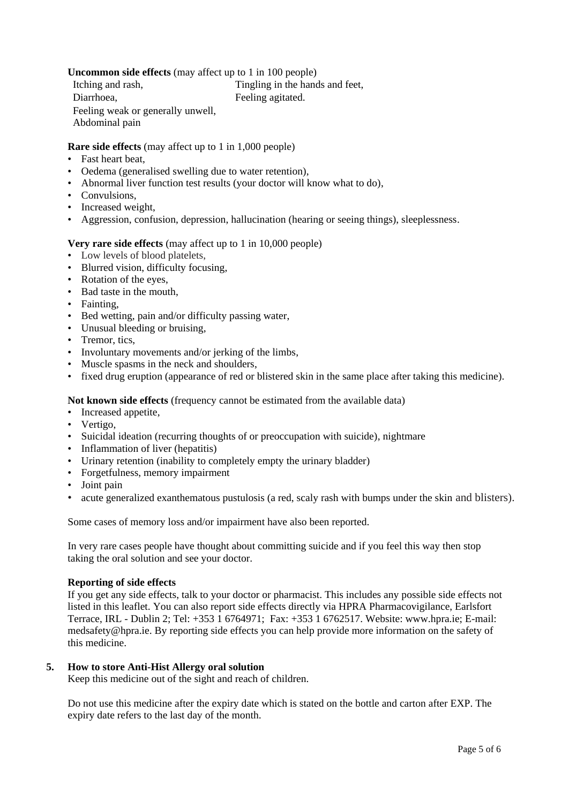# **Uncommon side effects** (may affect up to 1 in 100 people)

Itching and rash,  $\frac{1}{2}$  Tingling in the hands and feet, **Diarrhoea.** • Feeling agitated.

Feeling weak or generally unwell, • Abdominal pain

**Rare side effects** (may affect up to 1 in 1,000 people)

- Fast heart beat,
- Oedema (generalised swelling due to water retention),
- Abnormal liver function test results (your doctor will know what to do),
- Convulsions.
- Increased weight,
- Aggression, confusion, depression, hallucination (hearing or seeing things), sleeplessness.

# **Very rare side effects** (may affect up to 1 in 10,000 people)

- Low levels of blood platelets,
- Blurred vision, difficulty focusing,
- Rotation of the eyes,
- Bad taste in the mouth,
- Fainting,
- Bed wetting, pain and/or difficulty passing water,
- Unusual bleeding or bruising,
- Tremor, tics,
- Involuntary movements and/or jerking of the limbs,
- Muscle spasms in the neck and shoulders,
- fixed drug eruption (appearance of red or blistered skin in the same place after taking this medicine).

**Not known side effects** (frequency cannot be estimated from the available data)

- Increased appetite,
- Vertigo,
- Suicidal ideation (recurring thoughts of or preoccupation with suicide), nightmare
- Inflammation of liver (hepatitis)
- Urinary retention (inability to completely empty the urinary bladder)
- Forgetfulness, memory impairment
- Joint pain
- acute generalized exanthematous pustulosis (a red, scaly rash with bumps under the skin and blisters).

Some cases of memory loss and/or impairment have also been reported.

In very rare cases people have thought about committing suicide and if you feel this way then stop taking the oral solution and see your doctor.

# **Reporting of side effects**

If you get any side effects, talk to your doctor or pharmacist. This includes any possible side effects not listed in this leaflet. You can also report side effects directly via HPRA Pharmacovigilance, Earlsfort Terrace, IRL - Dublin 2; Tel: +353 1 6764971; Fax: +353 1 6762517. Website: [www.hpra.ie;](http://www.hpra.ie/) E-mail: [medsafety@hpra.ie.](mailto:medsafety@hpra.ie) By reporting side effects you can help provide more information on the safety of this medicine.

# **5. How to store Anti-Hist Allergy oral solution**

Keep this medicine out of the sight and reach of children.

Do not use this medicine after the expiry date which is stated on the bottle and carton after EXP. The expiry date refers to the last day of the month.